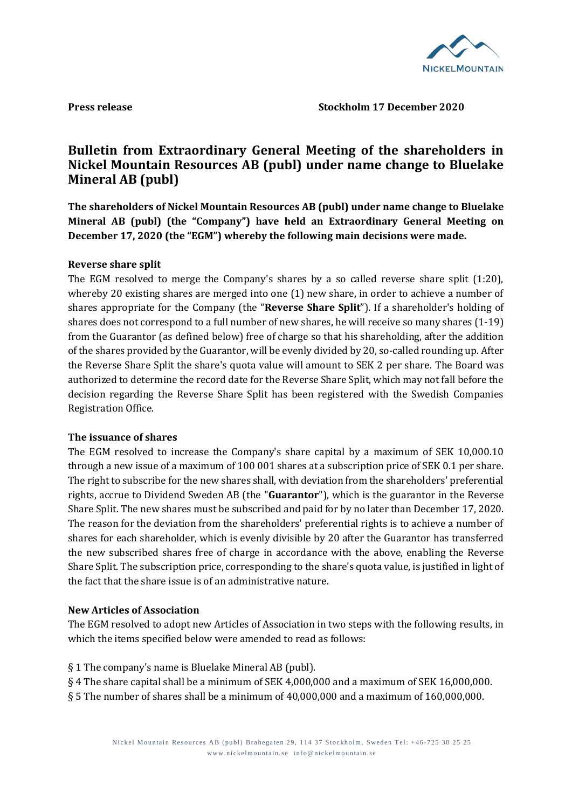

# **Press release Stockholm 17 December 2020**

# **Bulletin from Extraordinary General Meeting of the shareholders in Nickel Mountain Resources AB (publ) under name change to Bluelake Mineral AB (publ)**

**The shareholders of Nickel Mountain Resources AB (publ) under name change to Bluelake Mineral AB (publ) (the "Company") have held an Extraordinary General Meeting on December 17, 2020 (the "EGM") whereby the following main decisions were made.** 

# **Reverse share split**

The EGM resolved to merge the Company's shares by a so called reverse share split (1:20), whereby 20 existing shares are merged into one (1) new share, in order to achieve a number of shares appropriate for the Company (the "**Reverse Share Split**"). If a shareholder's holding of shares does not correspond to a full number of new shares, he will receive so many shares (1-19) from the Guarantor (as defined below) free of charge so that his shareholding, after the addition of the shares provided by the Guarantor, will be evenly divided by 20, so-called rounding up. After the Reverse Share Split the share's quota value will amount to SEK 2 per share. The Board was authorized to determine the record date for the Reverse Share Split, which may not fall before the decision regarding the Reverse Share Split has been registered with the Swedish Companies Registration Office.

#### **The issuance of shares**

The EGM resolved to increase the Company's share capital by a maximum of SEK 10,000.10 through a new issue of a maximum of 100 001 shares at a subscription price of SEK 0.1 per share. The right to subscribe for the new shares shall, with deviation from the shareholders' preferential rights, accrue to Dividend Sweden AB (the "**Guarantor**"), which is the guarantor in the Reverse Share Split. The new shares must be subscribed and paid for by no later than December 17, 2020. The reason for the deviation from the shareholders' preferential rights is to achieve a number of shares for each shareholder, which is evenly divisible by 20 after the Guarantor has transferred the new subscribed shares free of charge in accordance with the above, enabling the Reverse Share Split. The subscription price, corresponding to the share's quota value, is justified in light of the fact that the share issue is of an administrative nature.

#### **New Articles of Association**

The EGM resolved to adopt new Articles of Association in two steps with the following results, in which the items specified below were amended to read as follows:

- § 1 The company's name is Bluelake Mineral AB (publ).
- § 4 The share capital shall be a minimum of SEK 4,000,000 and a maximum of SEK 16,000,000.
- § 5 The number of shares shall be a minimum of 40,000,000 and a maximum of 160,000,000.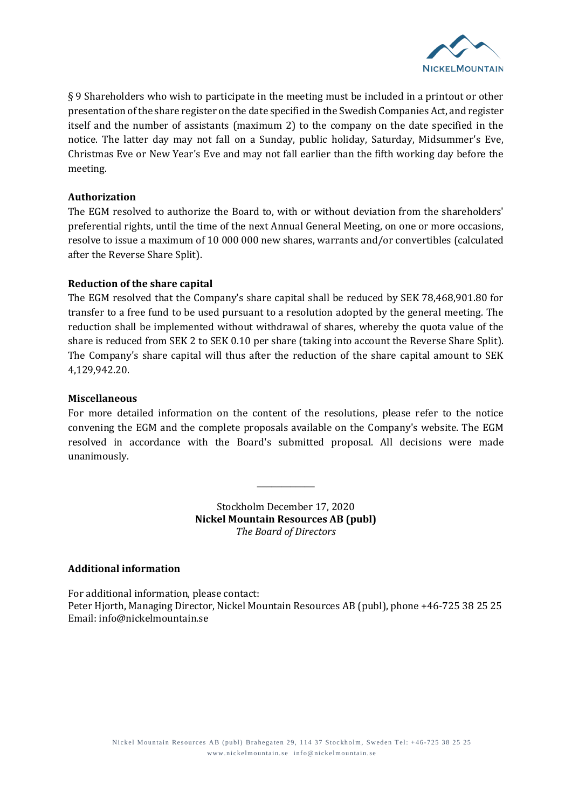

§ 9 Shareholders who wish to participate in the meeting must be included in a printout or other presentation of the share register on the date specified in the Swedish Companies Act, and register itself and the number of assistants (maximum 2) to the company on the date specified in the notice. The latter day may not fall on a Sunday, public holiday, Saturday, Midsummer's Eve, Christmas Eve or New Year's Eve and may not fall earlier than the fifth working day before the meeting.

## **Authorization**

The EGM resolved to authorize the Board to, with or without deviation from the shareholders' preferential rights, until the time of the next Annual General Meeting, on one or more occasions, resolve to issue a maximum of 10 000 000 new shares, warrants and/or convertibles (calculated after the Reverse Share Split).

# **Reduction of the share capital**

The EGM resolved that the Company's share capital shall be reduced by SEK 78,468,901.80 for transfer to a free fund to be used pursuant to a resolution adopted by the general meeting. The reduction shall be implemented without withdrawal of shares, whereby the quota value of the share is reduced from SEK 2 to SEK 0.10 per share (taking into account the Reverse Share Split). The Company's share capital will thus after the reduction of the share capital amount to SEK 4,129,942.20.

#### **Miscellaneous**

For more detailed information on the content of the resolutions, please refer to the notice convening the EGM and the complete proposals available on the Company's website. The EGM resolved in accordance with the Board's submitted proposal. All decisions were made unanimously.

> Stockholm December 17, 2020 **Nickel Mountain Resources AB (publ)** *The Board of Directors*

\_\_\_\_\_\_\_\_\_\_\_\_

### **Additional information**

For additional information, please contact: Peter Hjorth, Managing Director, Nickel Mountain Resources AB (publ), phone +46-725 38 25 25 Email: info@nickelmountain.se